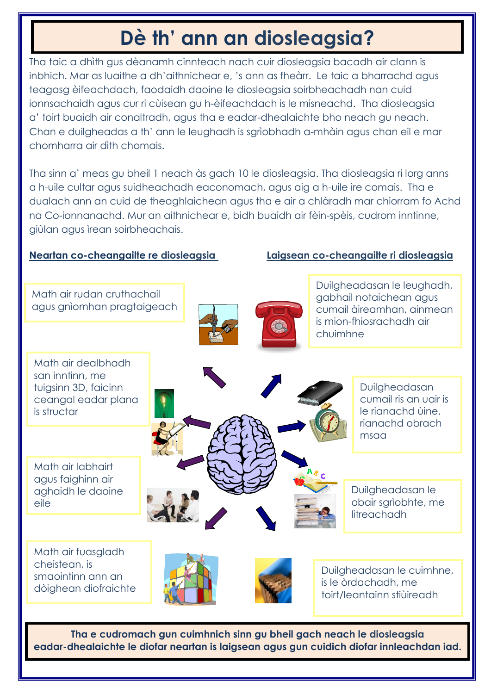# **Dè th' ann an diosleagsia?**

Tha taic a dhìth gus dèanamh cinnteach nach cuir diosleagsia bacadh air clann is inbhich. Mar as luaithe a dh'aithnichear e, 's ann as fheàrr. Le taic a bharrachd agus teagasg èifeachdach, faodaidh daoine le diosleagsia soirbheachadh nan cuid ionnsachaidh agus cur ri cùisean gu h-èifeachdach is le misneachd. Tha diosleagsia a' toirt buaidh air conaltradh, agus tha e eadar-dhealaichte bho neach gu neach. Chan e duilgheadas a th' ann le leughadh is sgrìobhadh a-mhàin agus chan eil e mar chomharra air dìth chomais.

Tha sinn a' meas gu bheil 1 neach às gach 10 le diosleagsia. Tha diosleagsia ri lorg anns a h-uile cultar agus suidheachadh eaconomach, agus aig a h-uile ìre comais. Tha e dualach ann an cuid de theaghlaichean agus tha e air a chlàradh mar chiorram fo Achd na Co-ionnanachd. Mur an aithnichear e, bidh buaidh air fèin-spèis, cudrom inntinne, giùlan agus ìrean soirbheachais.

#### **Neartan co-cheangailte re diosleagsia Laigsean co-cheangailte ri diosleagsia**